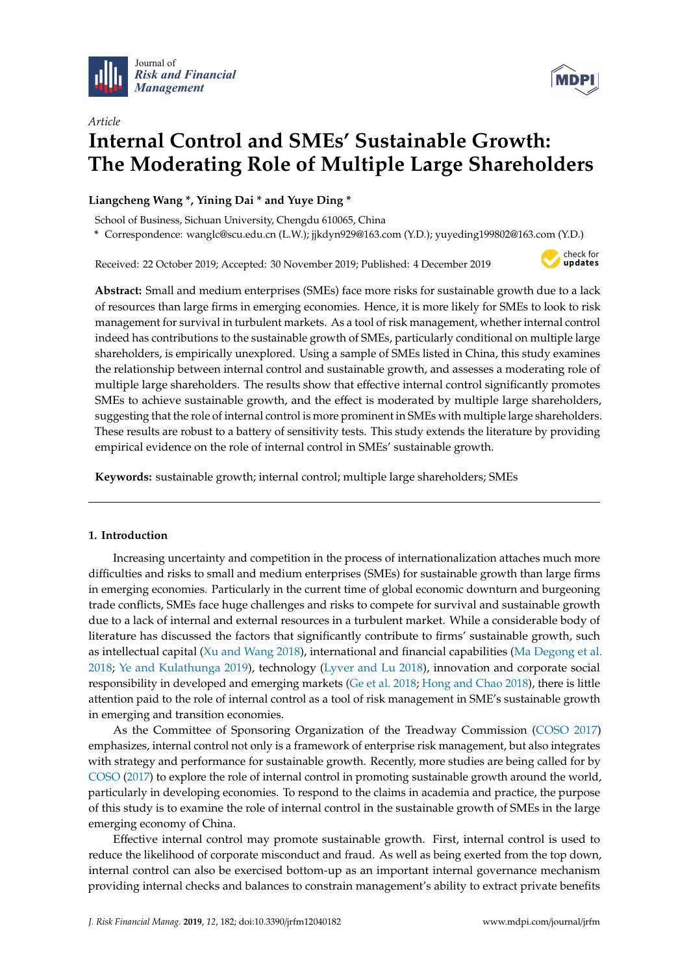



# *Article* **Internal Control and SMEs' Sustainable Growth: The Moderating Role of Multiple Large Shareholders**

# **Liangcheng Wang \*, Yining Dai \* and Yuye Ding \***

School of Business, Sichuan University, Chengdu 610065, China

**\*** Correspondence: wanglc@scu.edu.cn (L.W.); jjkdyn929@163.com (Y.D.); yuyeding199802@163.com (Y.D.)

Received: 22 October 2019; Accepted: 30 November 2019; Published: 4 December 2019



**Abstract:** Small and medium enterprises (SMEs) face more risks for sustainable growth due to a lack of resources than large firms in emerging economies. Hence, it is more likely for SMEs to look to risk management for survival in turbulent markets. As a tool of risk management, whether internal control indeed has contributions to the sustainable growth of SMEs, particularly conditional on multiple large shareholders, is empirically unexplored. Using a sample of SMEs listed in China, this study examines the relationship between internal control and sustainable growth, and assesses a moderating role of multiple large shareholders. The results show that effective internal control significantly promotes SMEs to achieve sustainable growth, and the effect is moderated by multiple large shareholders, suggesting that the role of internal control is more prominent in SMEs with multiple large shareholders. These results are robust to a battery of sensitivity tests. This study extends the literature by providing empirical evidence on the role of internal control in SMEs' sustainable growth.

**Keywords:** sustainable growth; internal control; multiple large shareholders; SMEs

# **1. Introduction**

Increasing uncertainty and competition in the process of internationalization attaches much more difficulties and risks to small and medium enterprises (SMEs) for sustainable growth than large firms in emerging economies. Particularly in the current time of global economic downturn and burgeoning trade conflicts, SMEs face huge challenges and risks to compete for survival and sustainable growth due to a lack of internal and external resources in a turbulent market. While a considerable body of literature has discussed the factors that significantly contribute to firms' sustainable growth, such as intellectual capital [\(Xu and Wang](#page-13-0) [2018\)](#page-13-0), international and financial capabilities [\(Ma Degong et al.](#page-12-0) [2018;](#page-12-0) [Ye and Kulathunga](#page-13-1) [2019\)](#page-13-1), technology [\(Lyver and Lu](#page-12-1) [2018\)](#page-12-1), innovation and corporate social responsibility in developed and emerging markets [\(Ge et al.](#page-12-2) [2018;](#page-12-2) [Hong and Chao](#page-12-3) [2018\)](#page-12-3), there is little attention paid to the role of internal control as a tool of risk management in SME's sustainable growth in emerging and transition economies.

As the Committee of Sponsoring Organization of the Treadway Commission [\(COSO](#page-12-4) [2017\)](#page-12-4) emphasizes, internal control not only is a framework of enterprise risk management, but also integrates with strategy and performance for sustainable growth. Recently, more studies are being called for by [COSO](#page-12-4) [\(2017\)](#page-12-4) to explore the role of internal control in promoting sustainable growth around the world, particularly in developing economies. To respond to the claims in academia and practice, the purpose of this study is to examine the role of internal control in the sustainable growth of SMEs in the large emerging economy of China.

Effective internal control may promote sustainable growth. First, internal control is used to reduce the likelihood of corporate misconduct and fraud. As well as being exerted from the top down, internal control can also be exercised bottom-up as an important internal governance mechanism providing internal checks and balances to constrain management's ability to extract private benefits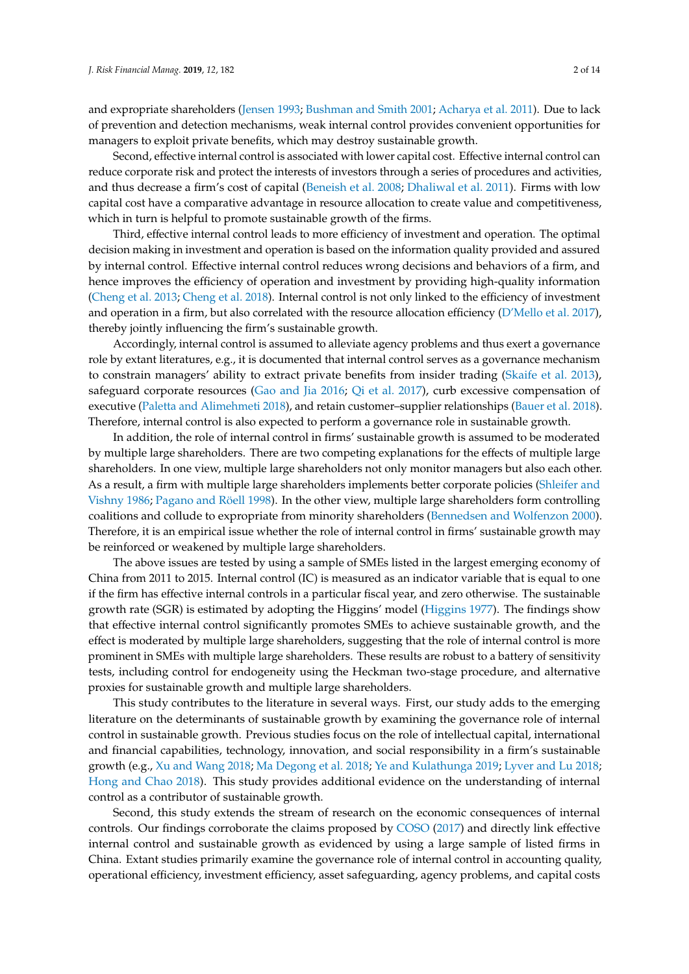and expropriate shareholders [\(Jensen](#page-12-5) [1993;](#page-12-5) [Bushman and Smith](#page-11-0) [2001;](#page-11-0) [Acharya et al.](#page-11-1) [2011\)](#page-11-1). Due to lack of prevention and detection mechanisms, weak internal control provides convenient opportunities for managers to exploit private benefits, which may destroy sustainable growth.

Second, effective internal control is associated with lower capital cost. Effective internal control can reduce corporate risk and protect the interests of investors through a series of procedures and activities, and thus decrease a firm's cost of capital [\(Beneish et al.](#page-11-2) [2008;](#page-11-2) [Dhaliwal et al.](#page-12-6) [2011\)](#page-12-6). Firms with low capital cost have a comparative advantage in resource allocation to create value and competitiveness, which in turn is helpful to promote sustainable growth of the firms.

Third, effective internal control leads to more efficiency of investment and operation. The optimal decision making in investment and operation is based on the information quality provided and assured by internal control. Effective internal control reduces wrong decisions and behaviors of a firm, and hence improves the efficiency of operation and investment by providing high-quality information [\(Cheng et al.](#page-12-7) [2013;](#page-12-7) [Cheng et al.](#page-12-8) [2018\)](#page-12-8). Internal control is not only linked to the efficiency of investment and operation in a firm, but also correlated with the resource allocation efficiency [\(D'Mello et al.](#page-12-9) [2017\)](#page-12-9), thereby jointly influencing the firm's sustainable growth.

Accordingly, internal control is assumed to alleviate agency problems and thus exert a governance role by extant literatures, e.g., it is documented that internal control serves as a governance mechanism to constrain managers' ability to extract private benefits from insider trading [\(Skaife et al.](#page-13-2) [2013\)](#page-13-2), safeguard corporate resources [\(Gao and Jia](#page-12-10) [2016;](#page-12-10) [Qi et al.](#page-12-11) [2017\)](#page-12-11), curb excessive compensation of executive [\(Paletta and Alimehmeti](#page-12-12) [2018\)](#page-12-12), and retain customer–supplier relationships [\(Bauer et al.](#page-11-3) [2018\)](#page-11-3). Therefore, internal control is also expected to perform a governance role in sustainable growth.

In addition, the role of internal control in firms' sustainable growth is assumed to be moderated by multiple large shareholders. There are two competing explanations for the effects of multiple large shareholders. In one view, multiple large shareholders not only monitor managers but also each other. As a result, a firm with multiple large shareholders implements better corporate policies [\(Shleifer and](#page-13-3) [Vishny](#page-13-3) [1986;](#page-13-3) [Pagano and Röell](#page-12-13) [1998\)](#page-12-13). In the other view, multiple large shareholders form controlling coalitions and collude to expropriate from minority shareholders [\(Bennedsen and Wolfenzon](#page-11-4) [2000\)](#page-11-4). Therefore, it is an empirical issue whether the role of internal control in firms' sustainable growth may be reinforced or weakened by multiple large shareholders.

The above issues are tested by using a sample of SMEs listed in the largest emerging economy of China from 2011 to 2015. Internal control (IC) is measured as an indicator variable that is equal to one if the firm has effective internal controls in a particular fiscal year, and zero otherwise. The sustainable growth rate (SGR) is estimated by adopting the Higgins' model [\(Higgins](#page-12-14) [1977\)](#page-12-14). The findings show that effective internal control significantly promotes SMEs to achieve sustainable growth, and the effect is moderated by multiple large shareholders, suggesting that the role of internal control is more prominent in SMEs with multiple large shareholders. These results are robust to a battery of sensitivity tests, including control for endogeneity using the Heckman two-stage procedure, and alternative proxies for sustainable growth and multiple large shareholders.

This study contributes to the literature in several ways. First, our study adds to the emerging literature on the determinants of sustainable growth by examining the governance role of internal control in sustainable growth. Previous studies focus on the role of intellectual capital, international and financial capabilities, technology, innovation, and social responsibility in a firm's sustainable growth (e.g., [Xu and Wang](#page-13-0) [2018;](#page-13-0) [Ma Degong et al.](#page-12-0) [2018;](#page-12-0) [Ye and Kulathunga](#page-13-1) [2019;](#page-13-1) [Lyver and Lu](#page-12-1) [2018;](#page-12-1) [Hong and Chao](#page-12-3) [2018\)](#page-12-3). This study provides additional evidence on the understanding of internal control as a contributor of sustainable growth.

Second, this study extends the stream of research on the economic consequences of internal controls. Our findings corroborate the claims proposed by [COSO](#page-12-4) [\(2017\)](#page-12-4) and directly link effective internal control and sustainable growth as evidenced by using a large sample of listed firms in China. Extant studies primarily examine the governance role of internal control in accounting quality, operational efficiency, investment efficiency, asset safeguarding, agency problems, and capital costs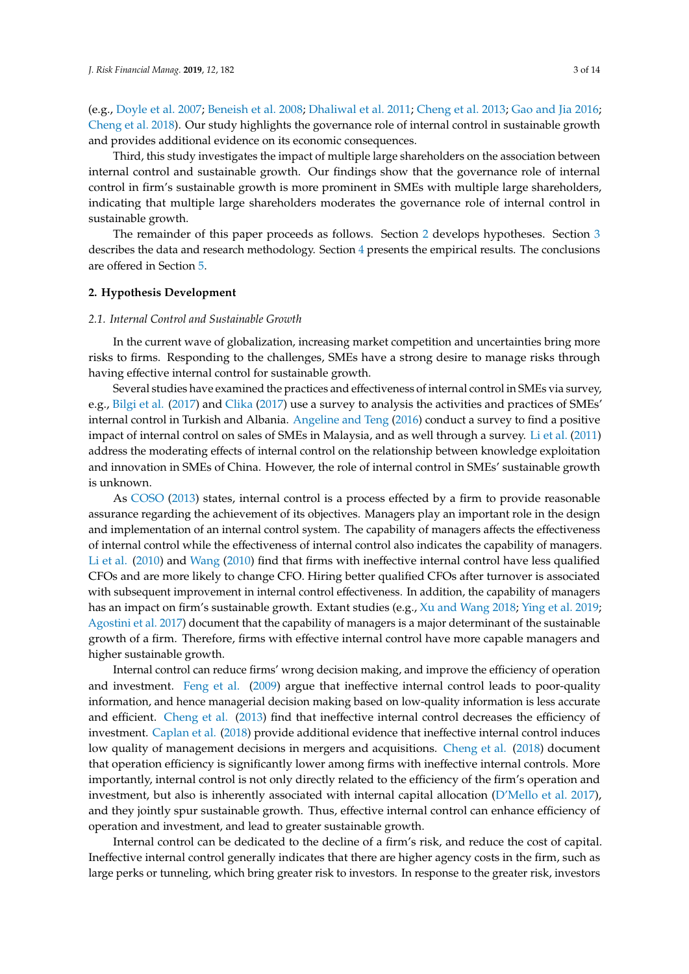(e.g., [Doyle et al.](#page-12-15) [2007;](#page-12-15) [Beneish et al.](#page-11-2) [2008;](#page-11-2) [Dhaliwal et al.](#page-12-6) [2011;](#page-12-6) [Cheng et al.](#page-12-7) [2013;](#page-12-7) [Gao and Jia](#page-12-10) [2016;](#page-12-10) [Cheng et al.](#page-12-8) [2018\)](#page-12-8). Our study highlights the governance role of internal control in sustainable growth and provides additional evidence on its economic consequences.

Third, this study investigates the impact of multiple large shareholders on the association between internal control and sustainable growth. Our findings show that the governance role of internal control in firm's sustainable growth is more prominent in SMEs with multiple large shareholders, indicating that multiple large shareholders moderates the governance role of internal control in sustainable growth.

The remainder of this paper proceeds as follows. Section [2](#page-2-0) develops hypotheses. Section [3](#page-3-0) describes the data and research methodology. Section [4](#page-5-0) presents the empirical results. The conclusions are offered in Section [5.](#page-10-0)

#### <span id="page-2-0"></span>**2. Hypothesis Development**

#### *2.1. Internal Control and Sustainable Growth*

In the current wave of globalization, increasing market competition and uncertainties bring more risks to firms. Responding to the challenges, SMEs have a strong desire to manage risks through having effective internal control for sustainable growth.

Several studies have examined the practices and effectiveness of internal control in SMEs via survey, e.g., [Bilgi et al.](#page-11-5) [\(2017\)](#page-11-5) and [Clika](#page-12-16) [\(2017\)](#page-12-16) use a survey to analysis the activities and practices of SMEs' internal control in Turkish and Albania. [Angeline and Teng](#page-11-6) [\(2016\)](#page-11-6) conduct a survey to find a positive impact of internal control on sales of SMEs in Malaysia, and as well through a survey. [Li et al.](#page-12-17) [\(2011\)](#page-12-17) address the moderating effects of internal control on the relationship between knowledge exploitation and innovation in SMEs of China. However, the role of internal control in SMEs' sustainable growth is unknown.

As [COSO](#page-12-18) [\(2013\)](#page-12-18) states, internal control is a process effected by a firm to provide reasonable assurance regarding the achievement of its objectives. Managers play an important role in the design and implementation of an internal control system. The capability of managers affects the effectiveness of internal control while the effectiveness of internal control also indicates the capability of managers. [Li et al.](#page-12-19) [\(2010\)](#page-12-19) and [Wang](#page-13-4) [\(2010\)](#page-13-4) find that firms with ineffective internal control have less qualified CFOs and are more likely to change CFO. Hiring better qualified CFOs after turnover is associated with subsequent improvement in internal control effectiveness. In addition, the capability of managers has an impact on firm's sustainable growth. Extant studies (e.g., [Xu and Wang](#page-13-0) [2018;](#page-13-0) [Ying et al.](#page-13-5) [2019;](#page-13-5) [Agostini et al.](#page-11-7) [2017\)](#page-11-7) document that the capability of managers is a major determinant of the sustainable growth of a firm. Therefore, firms with effective internal control have more capable managers and higher sustainable growth.

Internal control can reduce firms' wrong decision making, and improve the efficiency of operation and investment. [Feng et al.](#page-12-20) [\(2009\)](#page-12-20) argue that ineffective internal control leads to poor-quality information, and hence managerial decision making based on low-quality information is less accurate and efficient. [Cheng et al.](#page-12-7) [\(2013\)](#page-12-7) find that ineffective internal control decreases the efficiency of investment. [Caplan et al.](#page-12-21) [\(2018\)](#page-12-21) provide additional evidence that ineffective internal control induces low quality of management decisions in mergers and acquisitions. [Cheng et al.](#page-12-8) [\(2018\)](#page-12-8) document that operation efficiency is significantly lower among firms with ineffective internal controls. More importantly, internal control is not only directly related to the efficiency of the firm's operation and investment, but also is inherently associated with internal capital allocation [\(D'Mello et al.](#page-12-9) [2017\)](#page-12-9), and they jointly spur sustainable growth. Thus, effective internal control can enhance efficiency of operation and investment, and lead to greater sustainable growth.

Internal control can be dedicated to the decline of a firm's risk, and reduce the cost of capital. Ineffective internal control generally indicates that there are higher agency costs in the firm, such as large perks or tunneling, which bring greater risk to investors. In response to the greater risk, investors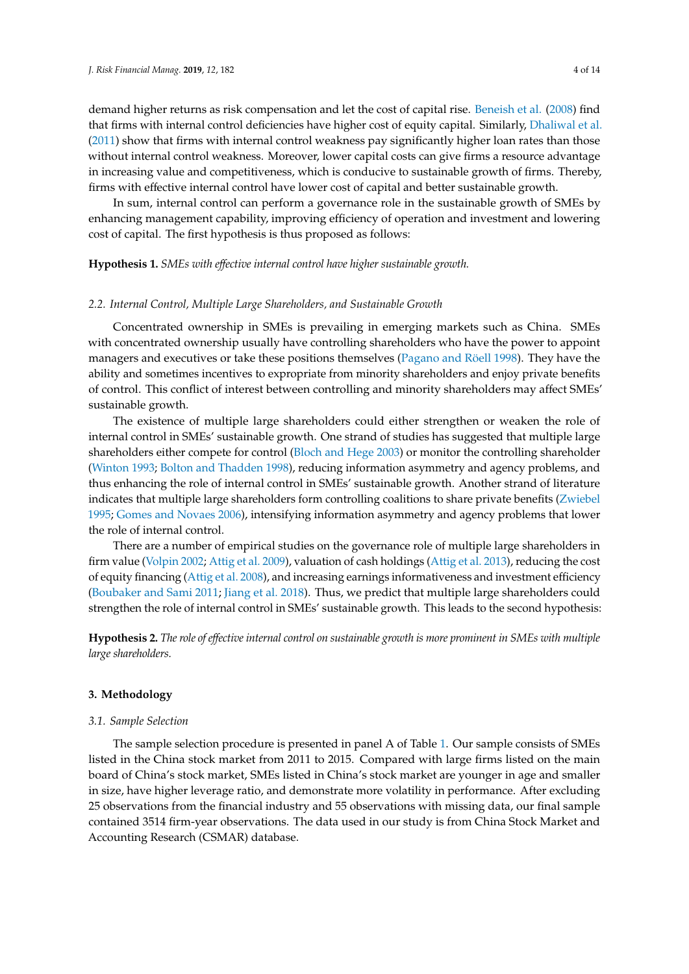demand higher returns as risk compensation and let the cost of capital rise. [Beneish et al.](#page-11-2) [\(2008\)](#page-11-2) find that firms with internal control deficiencies have higher cost of equity capital. Similarly, [Dhaliwal et al.](#page-12-6) [\(2011\)](#page-12-6) show that firms with internal control weakness pay significantly higher loan rates than those without internal control weakness. Moreover, lower capital costs can give firms a resource advantage in increasing value and competitiveness, which is conducive to sustainable growth of firms. Thereby, firms with effective internal control have lower cost of capital and better sustainable growth.

In sum, internal control can perform a governance role in the sustainable growth of SMEs by enhancing management capability, improving efficiency of operation and investment and lowering cost of capital. The first hypothesis is thus proposed as follows:

**Hypothesis 1.** *SMEs with effective internal control have higher sustainable growth.*

#### *2.2. Internal Control, Multiple Large Shareholders, and Sustainable Growth*

Concentrated ownership in SMEs is prevailing in emerging markets such as China. SMEs with concentrated ownership usually have controlling shareholders who have the power to appoint managers and executives or take these positions themselves [\(Pagano and Röell](#page-12-13) [1998\)](#page-12-13). They have the ability and sometimes incentives to expropriate from minority shareholders and enjoy private benefits of control. This conflict of interest between controlling and minority shareholders may affect SMEs' sustainable growth.

The existence of multiple large shareholders could either strengthen or weaken the role of internal control in SMEs' sustainable growth. One strand of studies has suggested that multiple large shareholders either compete for control [\(Bloch and Hege](#page-11-8) [2003\)](#page-11-8) or monitor the controlling shareholder [\(Winton](#page-13-6) [1993;](#page-13-6) [Bolton and Thadden](#page-11-9) [1998\)](#page-11-9), reducing information asymmetry and agency problems, and thus enhancing the role of internal control in SMEs' sustainable growth. Another strand of literature indicates that multiple large shareholders form controlling coalitions to share private benefits [\(Zwiebel](#page-13-7) [1995;](#page-13-7) [Gomes and Novaes](#page-12-22) [2006\)](#page-12-22), intensifying information asymmetry and agency problems that lower the role of internal control.

There are a number of empirical studies on the governance role of multiple large shareholders in firm value [\(Volpin](#page-13-8) [2002;](#page-13-8) [Attig et al.](#page-11-10) [2009\)](#page-11-10), valuation of cash holdings [\(Attig et al.](#page-11-11) [2013\)](#page-11-11), reducing the cost of equity financing [\(Attig et al.](#page-11-12) [2008\)](#page-11-12), and increasing earnings informativeness and investment efficiency [\(Boubaker and Sami](#page-11-13) [2011;](#page-11-13) [Jiang et al.](#page-12-23) [2018\)](#page-12-23). Thus, we predict that multiple large shareholders could strengthen the role of internal control in SMEs' sustainable growth. This leads to the second hypothesis:

**Hypothesis 2.** *The role of effective internal control on sustainable growth is more prominent in SMEs with multiple large shareholders.*

#### <span id="page-3-0"></span>**3. Methodology**

#### *3.1. Sample Selection*

The sample selection procedure is presented in panel A of Table [1.](#page-4-0) Our sample consists of SMEs listed in the China stock market from 2011 to 2015. Compared with large firms listed on the main board of China's stock market, SMEs listed in China's stock market are younger in age and smaller in size, have higher leverage ratio, and demonstrate more volatility in performance. After excluding 25 observations from the financial industry and 55 observations with missing data, our final sample contained 3514 firm-year observations. The data used in our study is from China Stock Market and Accounting Research (CSMAR) database.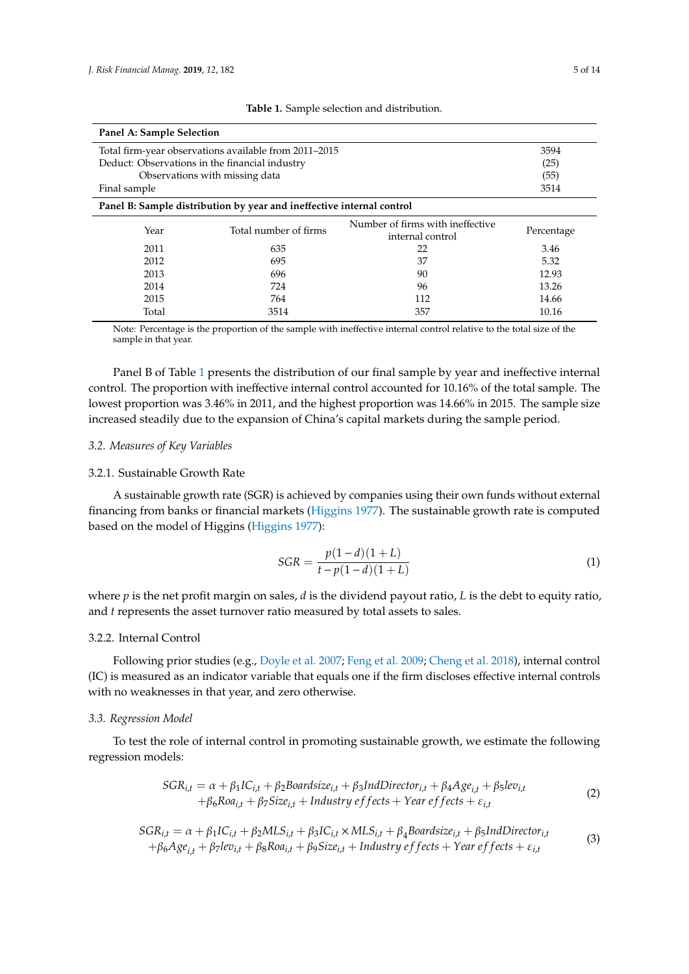<span id="page-4-0"></span>

| Panel A: Sample Selection                             |                                                                       |                                                      |            |  |  |
|-------------------------------------------------------|-----------------------------------------------------------------------|------------------------------------------------------|------------|--|--|
| Total firm-year observations available from 2011–2015 |                                                                       |                                                      |            |  |  |
|                                                       | Deduct: Observations in the financial industry                        |                                                      | (25)       |  |  |
|                                                       | Observations with missing data                                        |                                                      | (55)       |  |  |
| Final sample                                          |                                                                       |                                                      | 3514       |  |  |
|                                                       | Panel B: Sample distribution by year and ineffective internal control |                                                      |            |  |  |
| Year                                                  | Total number of firms                                                 | Number of firms with ineffective<br>internal control | Percentage |  |  |
| 2011                                                  | 635                                                                   | 22                                                   | 3.46       |  |  |
| 2012                                                  | 695                                                                   | 37                                                   | 5.32       |  |  |
| 2013                                                  | 696                                                                   | 90                                                   | 12.93      |  |  |
| 2014                                                  | 724                                                                   | 96                                                   | 13.26      |  |  |
| 2015                                                  | 764                                                                   | 112                                                  | 14.66      |  |  |
| Total                                                 | 3514                                                                  | 357                                                  | 10.16      |  |  |

**Table 1.** Sample selection and distribution.

Note: Percentage is the proportion of the sample with ineffective internal control relative to the total size of the sample in that year.

Panel B of Table [1](#page-4-0) presents the distribution of our final sample by year and ineffective internal control. The proportion with ineffective internal control accounted for 10.16% of the total sample. The lowest proportion was 3.46% in 2011, and the highest proportion was 14.66% in 2015. The sample size increased steadily due to the expansion of China's capital markets during the sample period.

### *3.2. Measures of Key Variables*

#### 3.2.1. Sustainable Growth Rate

A sustainable growth rate (SGR) is achieved by companies using their own funds without external financing from banks or financial markets [\(Higgins](#page-12-14) [1977\)](#page-12-14). The sustainable growth rate is computed based on the model of Higgins [\(Higgins](#page-12-14) [1977\)](#page-12-14):

$$
SGR = \frac{p(1-d)(1+L)}{t - p(1-d)(1+L)}
$$
\n(1)

where *p* is the net profit margin on sales, *d* is the dividend payout ratio, *L* is the debt to equity ratio, and *t* represents the asset turnover ratio measured by total assets to sales.

# 3.2.2. Internal Control

Following prior studies (e.g., [Doyle et al.](#page-12-15) [2007;](#page-12-15) [Feng et al.](#page-12-20) [2009;](#page-12-20) [Cheng et al.](#page-12-8) [2018\)](#page-12-8), internal control (IC) is measured as an indicator variable that equals one if the firm discloses effective internal controls with no weaknesses in that year, and zero otherwise.

#### *3.3. Regression Model*

To test the role of internal control in promoting sustainable growth, we estimate the following regression models:

$$
SGR_{i,t} = \alpha + \beta_1 IC_{i,t} + \beta_2 Boardsize_{i,t} + \beta_3 IndDirector_{i,t} + \beta_4 Age_{i,t} + \beta_5 lev_{i,t} + \beta_6 Roa_{i,t} + \beta_7 Size_{i,t} + Industry effects + Year effects + \varepsilon_{i,t}
$$
\n(2)

$$
SGR_{i,t} = \alpha + \beta_1 IC_{i,t} + \beta_2 MLS_{i,t} + \beta_3 IC_{i,t} \times MLS_{i,t} + \beta_4 B oardsize_{i,t} + \beta_5 IndDirector_{i,t} + \beta_6 Age_{i,t} + \beta_7 lev_{i,t} + \beta_8 R o a_{i,t} + \beta_9 Size_{i,t} + Industry effects + Year effects + \varepsilon_{i,t}
$$
\n(3)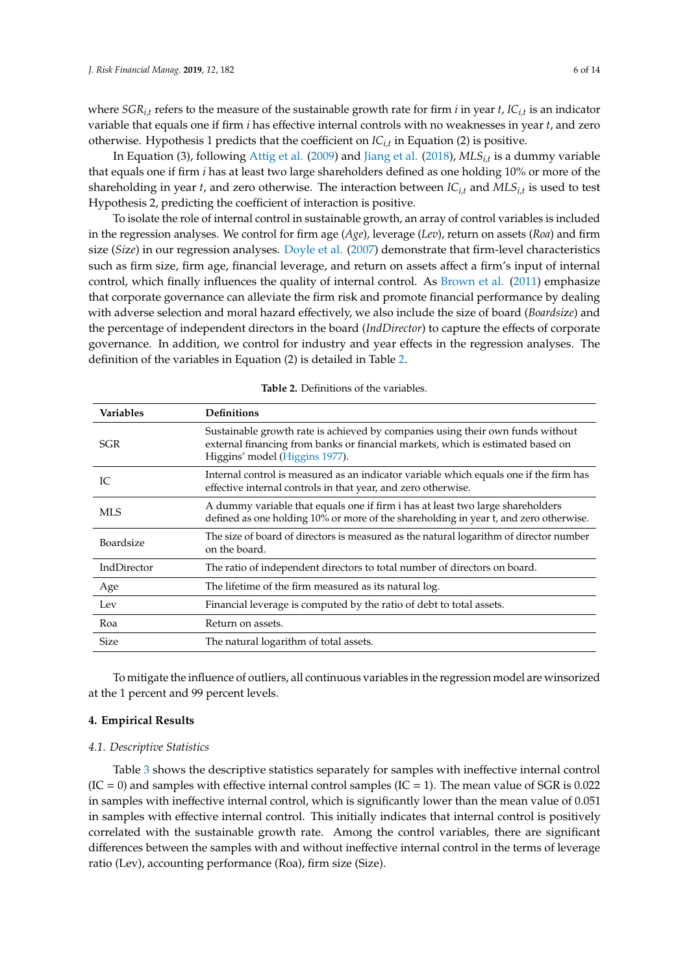where *SGRi,t* refers to the measure of the sustainable growth rate for firm *i* in year *t*, *ICi,t* is an indicator variable that equals one if firm *i* has effective internal controls with no weaknesses in year *t*, and zero otherwise. Hypothesis 1 predicts that the coefficient on *ICi,t* in Equation (2) is positive.

In Equation (3), following [Attig et al.](#page-11-10) [\(2009\)](#page-11-10) and [Jiang et al.](#page-12-23) [\(2018\)](#page-12-23), *MLSi,t* is a dummy variable that equals one if firm *i* has at least two large shareholders defined as one holding 10% or more of the shareholding in year *t*, and zero otherwise. The interaction between *ICi,t* and *MLSi,t* is used to test Hypothesis 2, predicting the coefficient of interaction is positive.

To isolate the role of internal control in sustainable growth, an array of control variables is included in the regression analyses. We control for firm age (*Age*), leverage (*Lev*), return on assets (*Roa*) and firm size (*Si*z*e*) in our regression analyses. [Doyle et al.](#page-12-15) [\(2007\)](#page-12-15) demonstrate that firm-level characteristics such as firm size, firm age, financial leverage, and return on assets affect a firm's input of internal control, which finally influences the quality of internal control. As [Brown et al.](#page-11-14) [\(2011\)](#page-11-14) emphasize that corporate governance can alleviate the firm risk and promote financial performance by dealing with adverse selection and moral hazard effectively, we also include the size of board (*Boardsi*z*e*) and the percentage of independent directors in the board (*IndDirector*) to capture the effects of corporate governance. In addition, we control for industry and year effects in the regression analyses. The definition of the variables in Equation (2) is detailed in Table [2.](#page-5-1)

<span id="page-5-1"></span>

| <b>Variables</b> | <b>Definitions</b>                                                                                                                                                                                  |
|------------------|-----------------------------------------------------------------------------------------------------------------------------------------------------------------------------------------------------|
| SGR              | Sustainable growth rate is achieved by companies using their own funds without<br>external financing from banks or financial markets, which is estimated based on<br>Higgins' model (Higgins 1977). |
| IC               | Internal control is measured as an indicator variable which equals one if the firm has<br>effective internal controls in that year, and zero otherwise.                                             |
| MLS              | A dummy variable that equals one if firm i has at least two large shareholders<br>defined as one holding 10% or more of the shareholding in year t, and zero otherwise.                             |
| <b>Boardsize</b> | The size of board of directors is measured as the natural logarithm of director number<br>on the board.                                                                                             |
| IndDirector      | The ratio of independent directors to total number of directors on board.                                                                                                                           |
| Age              | The lifetime of the firm measured as its natural log.                                                                                                                                               |
| Lev              | Financial leverage is computed by the ratio of debt to total assets.                                                                                                                                |
| Roa              | Return on assets.                                                                                                                                                                                   |
| <b>Size</b>      | The natural logarithm of total assets.                                                                                                                                                              |

**Table 2.** Definitions of the variables.

To mitigate the influence of outliers, all continuous variables in the regression model are winsorized at the 1 percent and 99 percent levels.

### <span id="page-5-0"></span>**4. Empirical Results**

#### *4.1. Descriptive Statistics*

Table [3](#page-6-0) shows the descriptive statistics separately for samples with ineffective internal control  $(IC = 0)$  and samples with effective internal control samples  $(IC = 1)$ . The mean value of SGR is 0.022 in samples with ineffective internal control, which is significantly lower than the mean value of 0.051 in samples with effective internal control. This initially indicates that internal control is positively correlated with the sustainable growth rate. Among the control variables, there are significant differences between the samples with and without ineffective internal control in the terms of leverage ratio (Lev), accounting performance (Roa), firm size (Size).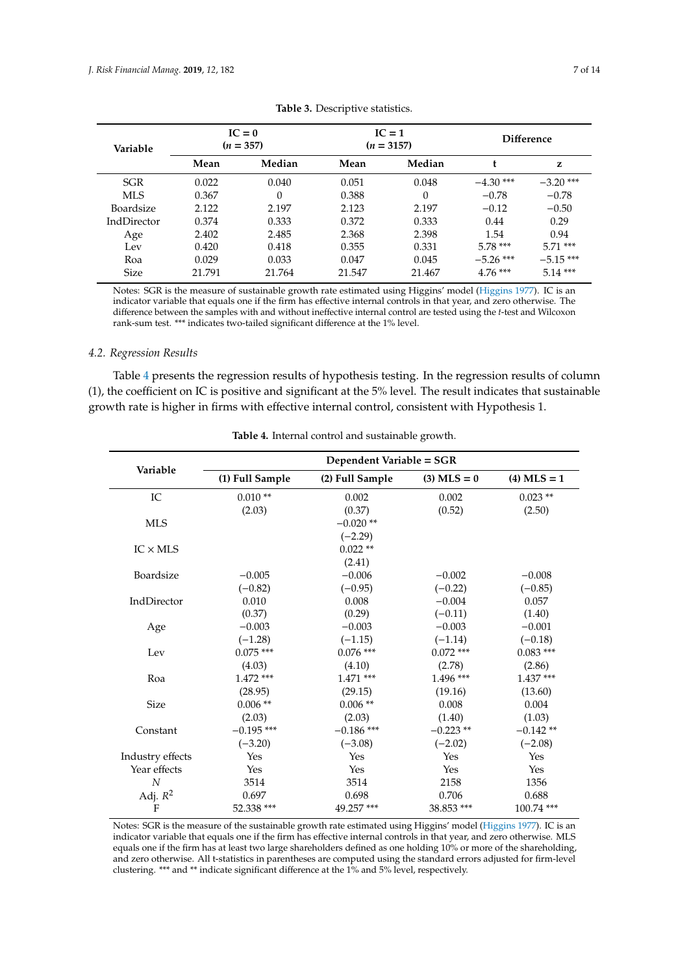<span id="page-6-0"></span>

| Variable    |        | $IC = 0$<br>$(n = 357)$ |        | $IC = 1$<br>$(n = 3157)$ |             | Difference  |  |
|-------------|--------|-------------------------|--------|--------------------------|-------------|-------------|--|
|             | Mean   | Median                  | Mean   | Median                   |             | z           |  |
| SGR         | 0.022  | 0.040                   | 0.051  | 0.048                    | $-4.30$ *** | $-3.20$ *** |  |
| <b>MLS</b>  | 0.367  | $\Omega$                | 0.388  | $\theta$                 | $-0.78$     | $-0.78$     |  |
| Boardsize   | 2.122  | 2.197                   | 2.123  | 2.197                    | $-0.12$     | $-0.50$     |  |
| IndDirector | 0.374  | 0.333                   | 0.372  | 0.333                    | 0.44        | 0.29        |  |
| Age         | 2.402  | 2.485                   | 2.368  | 2.398                    | 1.54        | 0.94        |  |
| Lev         | 0.420  | 0.418                   | 0.355  | 0.331                    | $5.78***$   | $5.71***$   |  |
| Roa         | 0.029  | 0.033                   | 0.047  | 0.045                    | $-5.26$ *** | $-5.15***$  |  |
| <b>Size</b> | 21.791 | 21.764                  | 21.547 | 21.467                   | $4.76***$   | $5.14***$   |  |

|  | Table 3. Descriptive statistics. |  |
|--|----------------------------------|--|
|--|----------------------------------|--|

Notes: SGR is the measure of sustainable growth rate estimated using Higgins' model [\(Higgins](#page-12-14) [1977\)](#page-12-14). IC is an indicator variable that equals one if the firm has effective internal controls in that year, and zero otherwise. The difference between the samples with and without ineffective internal control are tested using the *t*-test and Wilcoxon rank-sum test. \*\*\* indicates two-tailed significant difference at the 1% level.

#### *4.2. Regression Results*

Table [4](#page-6-1) presents the regression results of hypothesis testing. In the regression results of column (1), the coefficient on IC is positive and significant at the 5% level. The result indicates that sustainable growth rate is higher in firms with effective internal control, consistent with Hypothesis 1.

<span id="page-6-1"></span>

| Variable         | Dependent Variable = SGR |                 |               |               |  |  |
|------------------|--------------------------|-----------------|---------------|---------------|--|--|
|                  | (1) Full Sample          | (2) Full Sample | $(3)$ MLS = 0 | $(4)$ MLS = 1 |  |  |
| IC               | $0.010**$                | 0.002           | 0.002         | $0.023**$     |  |  |
|                  | (2.03)                   | (0.37)          | (0.52)        | (2.50)        |  |  |
| <b>MLS</b>       |                          | $-0.020**$      |               |               |  |  |
|                  |                          | $(-2.29)$       |               |               |  |  |
| $IC \times MLS$  |                          | $0.022**$       |               |               |  |  |
|                  |                          | (2.41)          |               |               |  |  |
| Boardsize        | $-0.005$                 | $-0.006$        | $-0.002$      | $-0.008$      |  |  |
|                  | $(-0.82)$                | $(-0.95)$       | $(-0.22)$     | $(-0.85)$     |  |  |
| IndDirector      | 0.010                    | 0.008           | $-0.004$      | 0.057         |  |  |
|                  | (0.37)                   | (0.29)          | $(-0.11)$     | (1.40)        |  |  |
| Age              | $-0.003$                 | $-0.003$        | $-0.003$      | $-0.001$      |  |  |
|                  | $(-1.28)$                | $(-1.15)$       | $(-1.14)$     | $(-0.18)$     |  |  |
| Lev              | $0.075$ ***              | $0.076$ ***     | $0.072$ ***   | $0.083***$    |  |  |
|                  | (4.03)                   | (4.10)          | (2.78)        | (2.86)        |  |  |
| Roa              | $1.472$ ***              | $1.471$ ***     | $1.496$ ***   | $1.437***$    |  |  |
|                  | (28.95)                  | (29.15)         | (19.16)       | (13.60)       |  |  |
| <b>Size</b>      | $0.006**$                | $0.006**$       | 0.008         | 0.004         |  |  |
|                  | (2.03)                   | (2.03)          | (1.40)        | (1.03)        |  |  |
| Constant         | $-0.195$ ***             | $-0.186$ ***    | $-0.223**$    | $-0.142**$    |  |  |
|                  | $(-3.20)$                | $(-3.08)$       | $(-2.02)$     | $(-2.08)$     |  |  |
| Industry effects | Yes                      | Yes             | Yes           | Yes           |  |  |
| Year effects     | Yes                      | Yes             | Yes           | Yes           |  |  |
| $\overline{N}$   | 3514                     | 3514            | 2158          | 1356          |  |  |
| Adj. $R^2$       | 0.697                    | 0.698           | 0.706         | 0.688         |  |  |
| F                | 52.338 ***               | 49.257 ***      | 38.853 ***    | 100.74 ***    |  |  |

|  |  | <b>Table 4.</b> Internal control and sustainable growth. |  |  |  |  |  |  |
|--|--|----------------------------------------------------------|--|--|--|--|--|--|
|--|--|----------------------------------------------------------|--|--|--|--|--|--|

Notes: SGR is the measure of the sustainable growth rate estimated using Higgins' model [\(Higgins](#page-12-14) [1977\)](#page-12-14). IC is an indicator variable that equals one if the firm has effective internal controls in that year, and zero otherwise. MLS equals one if the firm has at least two large shareholders defined as one holding 10% or more of the shareholding, and zero otherwise. All t-statistics in parentheses are computed using the standard errors adjusted for firm-level clustering. \*\*\* and \*\* indicate significant difference at the 1% and 5% level, respectively.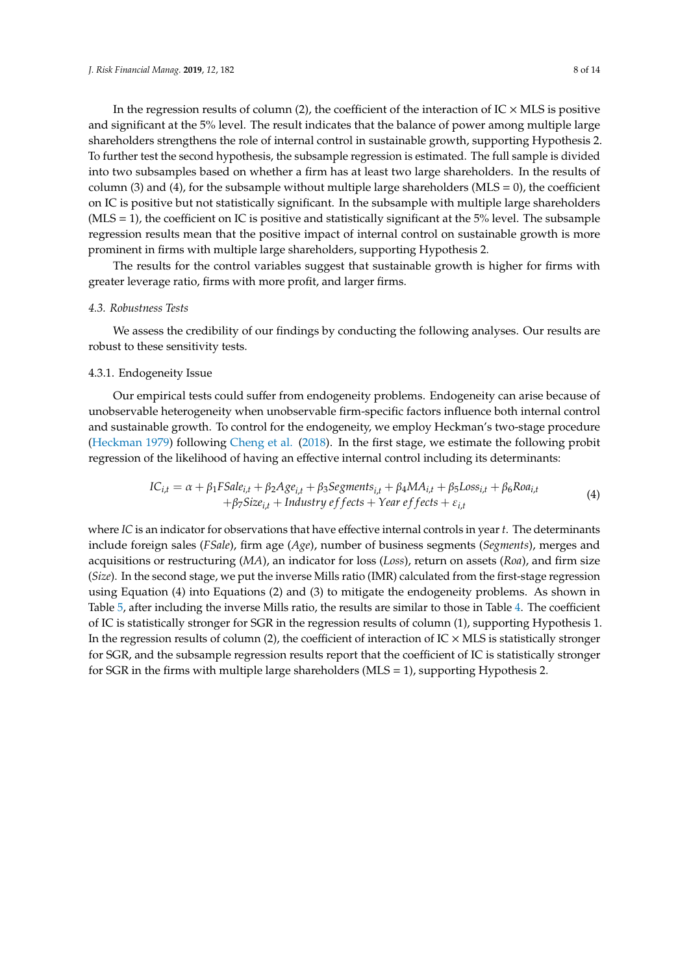In the regression results of column (2), the coefficient of the interaction of  $IC \times MLS$  is positive and significant at the 5% level. The result indicates that the balance of power among multiple large shareholders strengthens the role of internal control in sustainable growth, supporting Hypothesis 2. To further test the second hypothesis, the subsample regression is estimated. The full sample is divided into two subsamples based on whether a firm has at least two large shareholders. In the results of column (3) and (4), for the subsample without multiple large shareholders ( $MLS = 0$ ), the coefficient on IC is positive but not statistically significant. In the subsample with multiple large shareholders  $(MLS = 1)$ , the coefficient on IC is positive and statistically significant at the 5% level. The subsample regression results mean that the positive impact of internal control on sustainable growth is more prominent in firms with multiple large shareholders, supporting Hypothesis 2.

The results for the control variables suggest that sustainable growth is higher for firms with greater leverage ratio, firms with more profit, and larger firms.

#### *4.3. Robustness Tests*

We assess the credibility of our findings by conducting the following analyses. Our results are robust to these sensitivity tests.

#### 4.3.1. Endogeneity Issue

Our empirical tests could suffer from endogeneity problems. Endogeneity can arise because of unobservable heterogeneity when unobservable firm-specific factors influence both internal control and sustainable growth. To control for the endogeneity, we employ Heckman's two-stage procedure [\(Heckman](#page-12-24) [1979\)](#page-12-24) following [Cheng et al.](#page-12-8) [\(2018\)](#page-12-8). In the first stage, we estimate the following probit regression of the likelihood of having an effective internal control including its determinants:

$$
IC_{i,t} = \alpha + \beta_1 F \text{Sale}_{i,t} + \beta_2 A g e_{i,t} + \beta_3 Segments_{i,t} + \beta_4 MA_{i,t} + \beta_5 Loss_{i,t} + \beta_6 R o a_{i,t} + \beta_7 Size_{i,t} + Industry effects + Year effects + \varepsilon_{i,t}
$$
\n(4)

where *IC* is an indicator for observations that have effective internal controls in year *t*. The determinants include foreign sales (*FSale*), firm age (*Age*), number of business segments (*Segments*), merges and acquisitions or restructuring (*MA*), an indicator for loss (*Loss*), return on assets (*Roa*), and firm size (*Size*). In the second stage, we put the inverse Mills ratio (IMR) calculated from the first-stage regression using Equation (4) into Equations (2) and (3) to mitigate the endogeneity problems. As shown in Table [5,](#page-8-0) after including the inverse Mills ratio, the results are similar to those in Table [4.](#page-6-1) The coefficient of IC is statistically stronger for SGR in the regression results of column (1), supporting Hypothesis 1. In the regression results of column (2), the coefficient of interaction of  $IC \times MLS$  is statistically stronger for SGR, and the subsample regression results report that the coefficient of IC is statistically stronger for SGR in the firms with multiple large shareholders ( $MLS = 1$ ), supporting Hypothesis 2.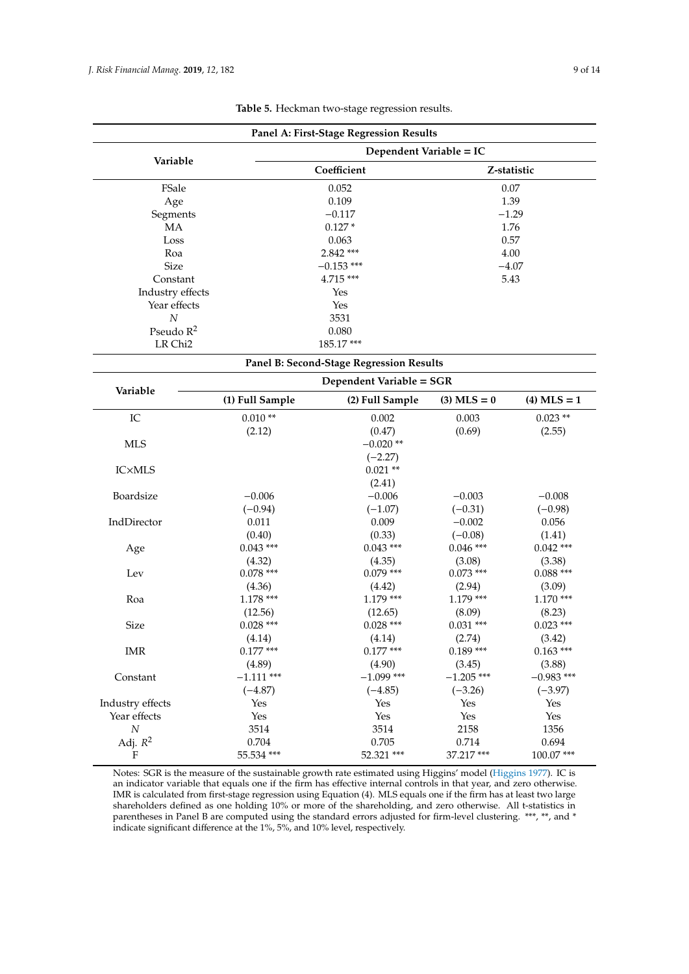<span id="page-8-0"></span>

|                           |                                    | Panel A: First-Stage Regression Results  |                                |                       |  |
|---------------------------|------------------------------------|------------------------------------------|--------------------------------|-----------------------|--|
|                           | Dependent Variable = IC            |                                          |                                |                       |  |
| Variable                  |                                    | Coefficient                              | Z-statistic                    |                       |  |
| FSale                     |                                    | 0.052                                    | 0.07                           |                       |  |
| Age                       |                                    | 0.109                                    |                                | 1.39                  |  |
| Segments                  |                                    | $-0.117$                                 | $-1.29$                        |                       |  |
| MA                        |                                    | $0.127*$                                 | 1.76                           |                       |  |
| Loss                      |                                    | 0.063                                    |                                | 0.57                  |  |
| Roa                       |                                    | 2.842 ***                                |                                | 4.00                  |  |
| <b>Size</b>               |                                    | $-0.153$ ***                             | $-4.07$                        |                       |  |
| Constant                  |                                    | 4.715***                                 |                                | 5.43                  |  |
| Industry effects          |                                    | Yes                                      |                                |                       |  |
| Year effects              |                                    | Yes                                      |                                |                       |  |
| $\cal N$                  |                                    | 3531                                     |                                |                       |  |
| Pseudo $R^2$              |                                    | 0.080                                    |                                |                       |  |
| LR Chi <sub>2</sub>       |                                    | 185.17***                                |                                |                       |  |
|                           |                                    | Panel B: Second-Stage Regression Results |                                |                       |  |
|                           |                                    | Dependent Variable = SGR                 |                                |                       |  |
| Variable                  | (1) Full Sample<br>(2) Full Sample |                                          | $(3)$ MLS = 0<br>$(4)$ MLS = 1 |                       |  |
| IC                        | $0.010**$                          | 0.002                                    | 0.003                          | $0.023$ **            |  |
|                           | (2.12)                             | (0.47)                                   | (0.69)                         | (2.55)                |  |
| <b>MLS</b>                |                                    | $-0.020**$                               |                                |                       |  |
|                           |                                    | $(-2.27)$                                |                                |                       |  |
| <b>IC×MLS</b>             |                                    | $0.021**$                                |                                |                       |  |
|                           |                                    | (2.41)                                   |                                |                       |  |
| Boardsize                 | $-0.006$                           | $-0.006$                                 | $-0.003$                       | $-0.008$              |  |
|                           | $(-0.94)$                          | $(-1.07)$                                | $(-0.31)$                      | $(-0.98)$             |  |
| IndDirector               | 0.011                              | 0.009                                    | $-0.002$                       | 0.056                 |  |
|                           | (0.40)                             | (0.33)                                   | $(-0.08)$                      | (1.41)                |  |
|                           | $0.043$ ***                        | $0.043***$                               | $0.046$ ***                    | $0.042$ ***           |  |
| Age                       |                                    | (4.35)                                   | (3.08)                         | (3.38)                |  |
| Lev                       | (4.32)<br>$0.078***$               | $0.079$ ***                              | $0.073$ ***                    | $0.088$ ***           |  |
|                           |                                    |                                          |                                |                       |  |
|                           | (4.36)<br>$1.178***$               | (4.42)<br>$1.179***$                     | (2.94)<br>$1.179***$           | (3.09)<br>$1.170***$  |  |
| Roa                       |                                    |                                          |                                |                       |  |
|                           | (12.56)                            | (12.65)<br>$0.028$ ***                   | (8.09)<br>$0.031$ ***          | (8.23)<br>$0.023$ *** |  |
| <b>Size</b>               | $0.028$ ***                        |                                          |                                |                       |  |
|                           | (4.14)                             | (4.14)                                   | (2.74)                         | (3.42)                |  |
| <b>IMR</b>                | $0.177$ ***                        | $0.177$ ***                              | $0.189***$                     | $0.163***$            |  |
|                           | (4.89)                             | (4.90)                                   | (3.45)                         | (3.88)                |  |
| Constant                  | $-1.111$ ***                       | $-1.099$ ***                             | $-1.205$ ***                   | $-0.983$ ***          |  |
|                           | $(-4.87)$                          | $(-4.85)$                                | $(-3.26)$                      | $(-3.97)$             |  |
| Industry effects          | Yes                                | Yes                                      | Yes                            | Yes                   |  |
| Year effects              | Yes                                | Yes                                      | Yes                            | Yes                   |  |
| $\cal N$                  | 3514                               | 3514                                     | 2158                           | 1356                  |  |
| Adj. $R^2$                | 0.704                              | 0.705                                    | 0.714                          | 0.694                 |  |
| $\boldsymbol{\mathrm{F}}$ | 55.534 ***                         | 52.321 ***                               | 37.217***                      | 100.07***             |  |

**Table 5.** Heckman two-stage regression results.

Notes: SGR is the measure of the sustainable growth rate estimated using Higgins' model [\(Higgins](#page-12-14) [1977\)](#page-12-14). IC is an indicator variable that equals one if the firm has effective internal controls in that year, and zero otherwise. IMR is calculated from first-stage regression using Equation (4). MLS equals one if the firm has at least two large shareholders defined as one holding 10% or more of the shareholding, and zero otherwise. All t-statistics in parentheses in Panel B are computed using the standard errors adjusted for firm-level clustering. \*\*\*, \*\*, and \* indicate significant difference at the 1%, 5%, and 10% level, respectively.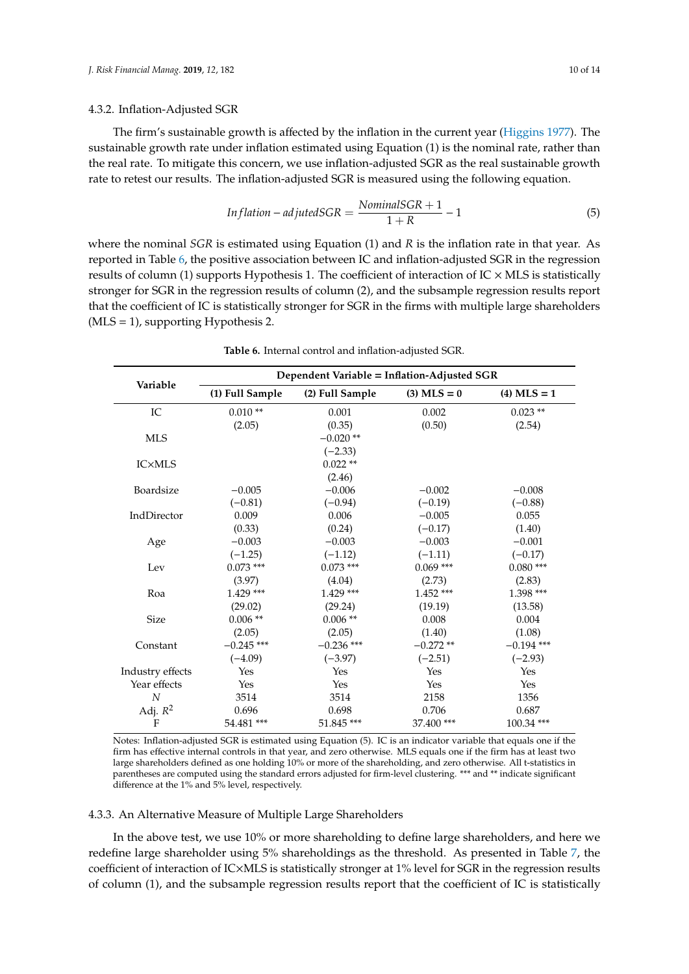#### 4.3.2. Inflation-Adjusted SGR

The firm's sustainable growth is affected by the inflation in the current year [\(Higgins](#page-12-14) [1977\)](#page-12-14). The sustainable growth rate under inflation estimated using Equation (1) is the nominal rate, rather than the real rate. To mitigate this concern, we use inflation-adjusted SGR as the real sustainable growth rate to retest our results. The inflation-adjusted SGR is measured using the following equation.

$$
Inflation-adjusted SGR = \frac{NominalSGR + 1}{1 + R} - 1 \tag{5}
$$

where the nominal *SGR* is estimated using Equation (1) and *R* is the inflation rate in that year. As reported in Table [6,](#page-9-0) the positive association between IC and inflation-adjusted SGR in the regression results of column (1) supports Hypothesis 1. The coefficient of interaction of  $IC \times MLS$  is statistically stronger for SGR in the regression results of column (2), and the subsample regression results report that the coefficient of IC is statistically stronger for SGR in the firms with multiple large shareholders  $(MLS = 1)$ , supporting Hypothesis 2.

<span id="page-9-0"></span>

|                  | Dependent Variable = Inflation-Adjusted SGR |                 |               |               |  |  |  |
|------------------|---------------------------------------------|-----------------|---------------|---------------|--|--|--|
| Variable         | (1) Full Sample                             | (2) Full Sample | $(3)$ MLS = 0 | $(4)$ MLS = 1 |  |  |  |
| IC               | $0.010**$                                   | 0.001           | 0.002         | $0.023**$     |  |  |  |
|                  | (2.05)                                      | (0.35)          | (0.50)        | (2.54)        |  |  |  |
| <b>MLS</b>       |                                             | $-0.020**$      |               |               |  |  |  |
|                  |                                             | $(-2.33)$       |               |               |  |  |  |
| <b>IC×MLS</b>    |                                             | $0.022**$       |               |               |  |  |  |
|                  |                                             | (2.46)          |               |               |  |  |  |
| Boardsize        | $-0.005$                                    | $-0.006$        | $-0.002$      | $-0.008$      |  |  |  |
|                  | $(-0.81)$                                   | $(-0.94)$       | $(-0.19)$     | $(-0.88)$     |  |  |  |
| IndDirector      | 0.009                                       | 0.006           | $-0.005$      | 0.055         |  |  |  |
|                  | (0.33)                                      | (0.24)          | $(-0.17)$     | (1.40)        |  |  |  |
| Age              | $-0.003$                                    | $-0.003$        | $-0.003$      | $-0.001$      |  |  |  |
|                  | $(-1.25)$                                   | $(-1.12)$       | $(-1.11)$     | $(-0.17)$     |  |  |  |
| Lev              | $0.073$ ***                                 | $0.073$ ***     | $0.069$ ***   | $0.080$ ***   |  |  |  |
|                  | (3.97)                                      | (4.04)          | (2.73)        | (2.83)        |  |  |  |
| Roa              | $1.429$ ***                                 | $1.429$ ***     | $1.452$ ***   | $1.398$ ***   |  |  |  |
|                  | (29.02)                                     | (29.24)         | (19.19)       | (13.58)       |  |  |  |
| <b>Size</b>      | $0.006**$                                   | $0.006**$       | 0.008         | 0.004         |  |  |  |
|                  | (2.05)                                      | (2.05)          | (1.40)        | (1.08)        |  |  |  |
| Constant         | $-0.245$ ***                                | $-0.236$ ***    | $-0.272**$    | $-0.194$ ***  |  |  |  |
|                  | $(-4.09)$                                   | $(-3.97)$       | $(-2.51)$     | $(-2.93)$     |  |  |  |
| Industry effects | Yes                                         | Yes             | Yes           | <b>Yes</b>    |  |  |  |
| Year effects     | Yes                                         | Yes             | Yes           | <b>Yes</b>    |  |  |  |
| N                | 3514                                        | 3514            | 2158          | 1356          |  |  |  |
| Adj. $R^2$       | 0.696                                       | 0.698           | 0.706         | 0.687         |  |  |  |
| F                | 54.481 ***                                  | 51.845 ***      | 37.400 ***    | 100.34 ***    |  |  |  |

**Table 6.** Internal control and inflation-adjusted SGR.

Notes: Inflation-adjusted SGR is estimated using Equation (5). IC is an indicator variable that equals one if the firm has effective internal controls in that year, and zero otherwise. MLS equals one if the firm has at least two large shareholders defined as one holding 10% or more of the shareholding, and zero otherwise. All t-statistics in parentheses are computed using the standard errors adjusted for firm-level clustering. \*\*\* and \*\* indicate significant difference at the 1% and 5% level, respectively.

# 4.3.3. An Alternative Measure of Multiple Large Shareholders

In the above test, we use 10% or more shareholding to define large shareholders, and here we redefine large shareholder using 5% shareholdings as the threshold. As presented in Table [7,](#page-10-1) the coefficient of interaction of IC×MLS is statistically stronger at 1% level for SGR in the regression results of column (1), and the subsample regression results report that the coefficient of IC is statistically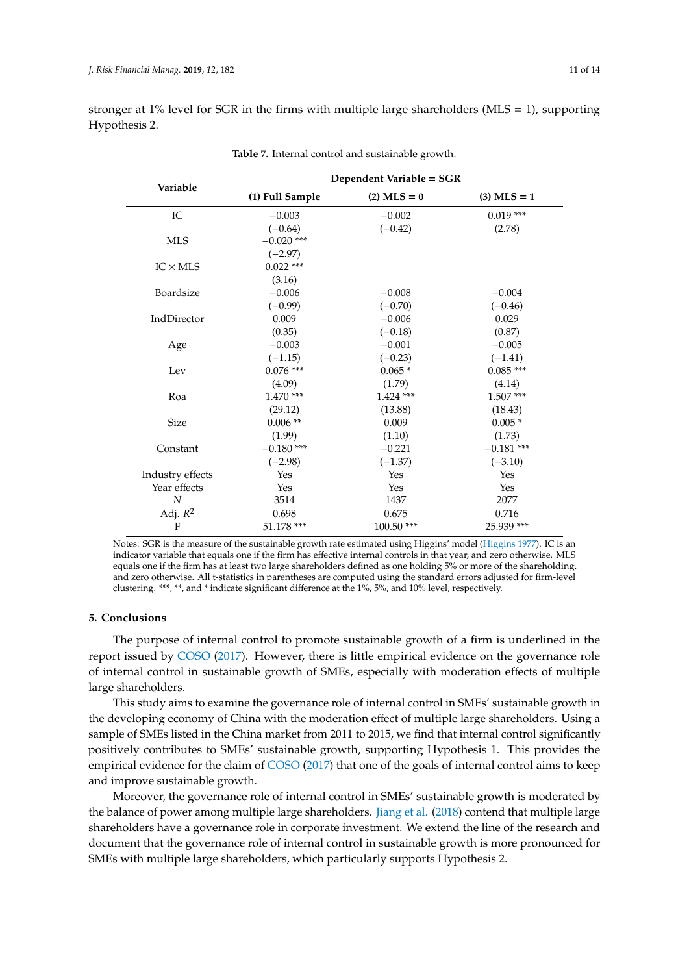<span id="page-10-1"></span>

| Variable         | Dependent Variable = SGR |               |               |  |  |  |
|------------------|--------------------------|---------------|---------------|--|--|--|
|                  | (1) Full Sample          | $(2)$ MLS = 0 | $(3)$ MLS = 1 |  |  |  |
| IC               | $-0.003$                 | $-0.002$      | $0.019***$    |  |  |  |
|                  | $(-0.64)$                | $(-0.42)$     | (2.78)        |  |  |  |
| <b>MLS</b>       | $-0.020$ ***             |               |               |  |  |  |
|                  | $(-2.97)$                |               |               |  |  |  |
| $IC \times MLS$  | $0.022$ ***              |               |               |  |  |  |
|                  | (3.16)                   |               |               |  |  |  |
| Boardsize        | $-0.006$                 | $-0.008$      | $-0.004$      |  |  |  |
|                  | $(-0.99)$                | $(-0.70)$     | $(-0.46)$     |  |  |  |
| IndDirector      | 0.009                    | $-0.006$      | 0.029         |  |  |  |
|                  | (0.35)                   | $(-0.18)$     | (0.87)        |  |  |  |
| Age              | $-0.003$                 | $-0.001$      | $-0.005$      |  |  |  |
|                  | $(-1.15)$                | $(-0.23)$     | $(-1.41)$     |  |  |  |
| Lev              | $0.076$ ***              | $0.065*$      | $0.085***$    |  |  |  |
|                  | (4.09)                   | (1.79)        | (4.14)        |  |  |  |
| Roa              | $1.470$ ***              | $1.424$ ***   | $1.507***$    |  |  |  |
|                  | (29.12)                  | (13.88)       | (18.43)       |  |  |  |
| <b>Size</b>      | $0.006**$                | 0.009         | $0.005*$      |  |  |  |
|                  | (1.99)                   | (1.10)        | (1.73)        |  |  |  |
| Constant         | $-0.180$ ***             | $-0.221$      | $-0.181$ ***  |  |  |  |
|                  | $(-2.98)$                | $(-1.37)$     | $(-3.10)$     |  |  |  |
| Industry effects | Yes                      | Yes           | Yes           |  |  |  |
| Year effects     | Yes                      | Yes           | Yes           |  |  |  |
| $\overline{N}$   | 3514                     | 1437          | 2077          |  |  |  |
| Adj. $R^2$       | 0.698                    | 0.675         | 0.716         |  |  |  |
| F                | 51.178 ***               | 100.50 ***    | 25.939 ***    |  |  |  |
|                  |                          |               |               |  |  |  |

stronger at 1% level for SGR in the firms with multiple large shareholders (MLS = 1), supporting Hypothesis 2.

**Table 7.** Internal control and sustainable growth.

Notes: SGR is the measure of the sustainable growth rate estimated using Higgins' model [\(Higgins](#page-12-14) [1977\)](#page-12-14). IC is an indicator variable that equals one if the firm has effective internal controls in that year, and zero otherwise. MLS equals one if the firm has at least two large shareholders defined as one holding 5% or more of the shareholding, and zero otherwise. All t-statistics in parentheses are computed using the standard errors adjusted for firm-level clustering. \*\*\*, \*\*, and \* indicate significant difference at the 1%, 5%, and 10% level, respectively.

#### <span id="page-10-0"></span>**5. Conclusions**

The purpose of internal control to promote sustainable growth of a firm is underlined in the report issued by [COSO](#page-12-4) [\(2017\)](#page-12-4). However, there is little empirical evidence on the governance role of internal control in sustainable growth of SMEs, especially with moderation effects of multiple large shareholders.

This study aims to examine the governance role of internal control in SMEs' sustainable growth in the developing economy of China with the moderation effect of multiple large shareholders. Using a sample of SMEs listed in the China market from 2011 to 2015, we find that internal control significantly positively contributes to SMEs' sustainable growth, supporting Hypothesis 1. This provides the empirical evidence for the claim of [COSO](#page-12-4) [\(2017\)](#page-12-4) that one of the goals of internal control aims to keep and improve sustainable growth.

Moreover, the governance role of internal control in SMEs' sustainable growth is moderated by the balance of power among multiple large shareholders. [Jiang et al.](#page-12-23) [\(2018\)](#page-12-23) contend that multiple large shareholders have a governance role in corporate investment. We extend the line of the research and document that the governance role of internal control in sustainable growth is more pronounced for SMEs with multiple large shareholders, which particularly supports Hypothesis 2.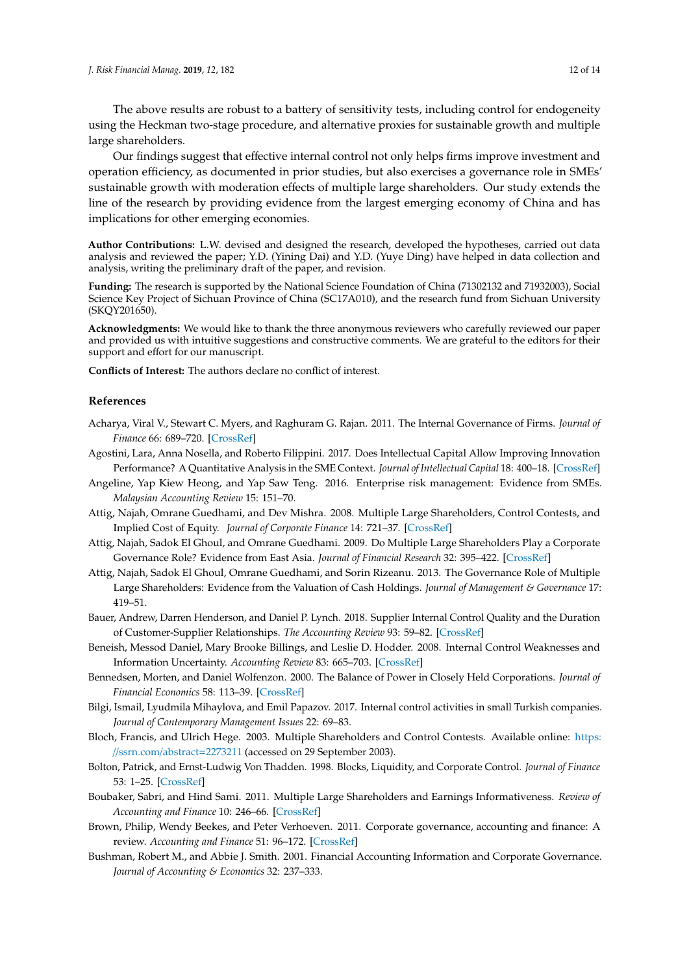The above results are robust to a battery of sensitivity tests, including control for endogeneity using the Heckman two-stage procedure, and alternative proxies for sustainable growth and multiple large shareholders.

Our findings suggest that effective internal control not only helps firms improve investment and operation efficiency, as documented in prior studies, but also exercises a governance role in SMEs' sustainable growth with moderation effects of multiple large shareholders. Our study extends the line of the research by providing evidence from the largest emerging economy of China and has implications for other emerging economies.

**Author Contributions:** L.W. devised and designed the research, developed the hypotheses, carried out data analysis and reviewed the paper; Y.D. (Yining Dai) and Y.D. (Yuye Ding) have helped in data collection and analysis, writing the preliminary draft of the paper, and revision.

**Funding:** The research is supported by the National Science Foundation of China (71302132 and 71932003), Social Science Key Project of Sichuan Province of China (SC17A010), and the research fund from Sichuan University (SKQY201650).

**Acknowledgments:** We would like to thank the three anonymous reviewers who carefully reviewed our paper and provided us with intuitive suggestions and constructive comments. We are grateful to the editors for their support and effort for our manuscript.

**Conflicts of Interest:** The authors declare no conflict of interest.

#### **References**

- <span id="page-11-1"></span>Acharya, Viral V., Stewart C. Myers, and Raghuram G. Rajan. 2011. The Internal Governance of Firms. *Journal of Finance* 66: 689–720. [\[CrossRef\]](http://dx.doi.org/10.1111/j.1540-6261.2011.01649.x)
- <span id="page-11-7"></span>Agostini, Lara, Anna Nosella, and Roberto Filippini. 2017. Does Intellectual Capital Allow Improving Innovation Performance? A Quantitative Analysis in the SME Context. *Journal of Intellectual Capital* 18: 400–18. [\[CrossRef\]](http://dx.doi.org/10.1108/JIC-05-2016-0056)
- <span id="page-11-6"></span>Angeline, Yap Kiew Heong, and Yap Saw Teng. 2016. Enterprise risk management: Evidence from SMEs. *Malaysian Accounting Review* 15: 151–70.
- <span id="page-11-12"></span>Attig, Najah, Omrane Guedhami, and Dev Mishra. 2008. Multiple Large Shareholders, Control Contests, and Implied Cost of Equity. *Journal of Corporate Finance* 14: 721–37. [\[CrossRef\]](http://dx.doi.org/10.1016/j.jcorpfin.2008.08.008)
- <span id="page-11-10"></span>Attig, Najah, Sadok El Ghoul, and Omrane Guedhami. 2009. Do Multiple Large Shareholders Play a Corporate Governance Role? Evidence from East Asia. *Journal of Financial Research* 32: 395–422. [\[CrossRef\]](http://dx.doi.org/10.1111/j.1475-6803.2009.01255.x)
- <span id="page-11-11"></span>Attig, Najah, Sadok El Ghoul, Omrane Guedhami, and Sorin Rizeanu. 2013. The Governance Role of Multiple Large Shareholders: Evidence from the Valuation of Cash Holdings. *Journal of Management & Governance* 17: 419–51.
- <span id="page-11-3"></span>Bauer, Andrew, Darren Henderson, and Daniel P. Lynch. 2018. Supplier Internal Control Quality and the Duration of Customer-Supplier Relationships. *The Accounting Review* 93: 59–82. [\[CrossRef\]](http://dx.doi.org/10.2308/accr-51889)
- <span id="page-11-2"></span>Beneish, Messod Daniel, Mary Brooke Billings, and Leslie D. Hodder. 2008. Internal Control Weaknesses and Information Uncertainty. *Accounting Review* 83: 665–703. [\[CrossRef\]](http://dx.doi.org/10.2308/accr.2008.83.3.665)
- <span id="page-11-4"></span>Bennedsen, Morten, and Daniel Wolfenzon. 2000. The Balance of Power in Closely Held Corporations. *Journal of Financial Economics* 58: 113–39. [\[CrossRef\]](http://dx.doi.org/10.1016/S0304-405X(00)00068-4)
- <span id="page-11-5"></span>Bilgi, Ismail, Lyudmila Mihaylova, and Emil Papazov. 2017. Internal control activities in small Turkish companies. *Journal of Contemporary Management Issues* 22: 69–83.
- <span id="page-11-8"></span>Bloch, Francis, and Ulrich Hege. 2003. Multiple Shareholders and Control Contests. Available online: [https:](https://ssrn.com/abstract=2273211) //[ssrn.com](https://ssrn.com/abstract=2273211)/abstract=2273211 (accessed on 29 September 2003).
- <span id="page-11-9"></span>Bolton, Patrick, and Ernst-Ludwig Von Thadden. 1998. Blocks, Liquidity, and Corporate Control. *Journal of Finance* 53: 1–25. [\[CrossRef\]](http://dx.doi.org/10.1111/0022-1082.15240)
- <span id="page-11-13"></span>Boubaker, Sabri, and Hind Sami. 2011. Multiple Large Shareholders and Earnings Informativeness. *Review of Accounting and Finance* 10: 246–66. [\[CrossRef\]](http://dx.doi.org/10.1108/14757701111155789)
- <span id="page-11-14"></span>Brown, Philip, Wendy Beekes, and Peter Verhoeven. 2011. Corporate governance, accounting and finance: A review. *Accounting and Finance* 51: 96–172. [\[CrossRef\]](http://dx.doi.org/10.1111/j.1467-629X.2010.00385.x)
- <span id="page-11-0"></span>Bushman, Robert M., and Abbie J. Smith. 2001. Financial Accounting Information and Corporate Governance. *Journal of Accounting & Economics* 32: 237–333.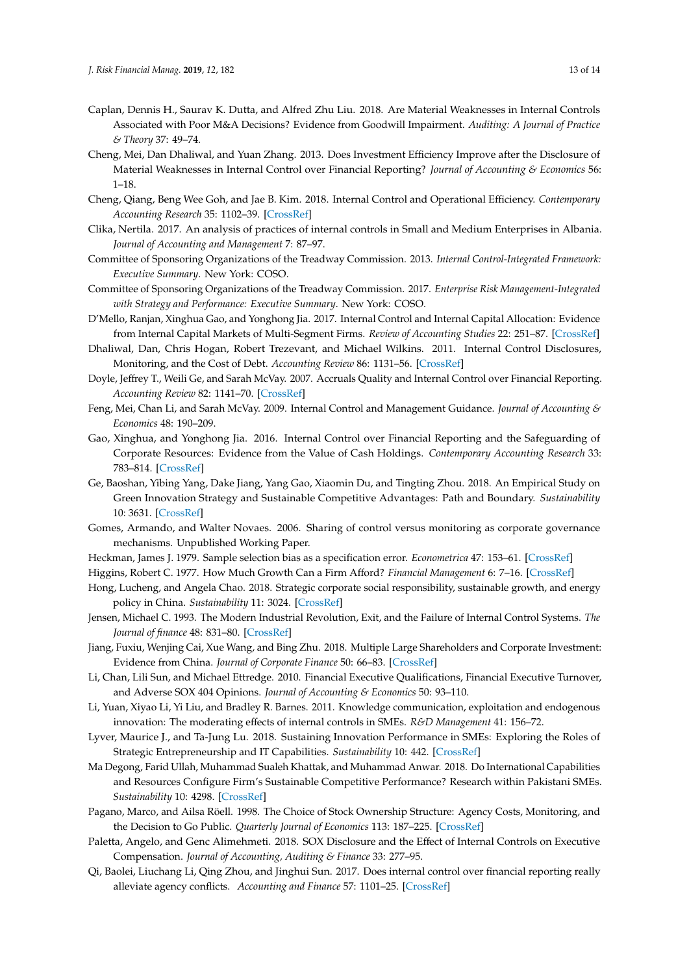- <span id="page-12-21"></span>Caplan, Dennis H., Saurav K. Dutta, and Alfred Zhu Liu. 2018. Are Material Weaknesses in Internal Controls Associated with Poor M&A Decisions? Evidence from Goodwill Impairment. *Auditing: A Journal of Practice & Theory* 37: 49–74.
- <span id="page-12-7"></span>Cheng, Mei, Dan Dhaliwal, and Yuan Zhang. 2013. Does Investment Efficiency Improve after the Disclosure of Material Weaknesses in Internal Control over Financial Reporting? *Journal of Accounting & Economics* 56: 1–18.
- <span id="page-12-8"></span>Cheng, Qiang, Beng Wee Goh, and Jae B. Kim. 2018. Internal Control and Operational Efficiency. *Contemporary Accounting Research* 35: 1102–39. [\[CrossRef\]](http://dx.doi.org/10.1111/1911-3846.12409)
- <span id="page-12-16"></span>Clika, Nertila. 2017. An analysis of practices of internal controls in Small and Medium Enterprises in Albania. *Journal of Accounting and Management* 7: 87–97.
- <span id="page-12-18"></span>Committee of Sponsoring Organizations of the Treadway Commission. 2013. *Internal Control-Integrated Framework: Executive Summary*. New York: COSO.
- <span id="page-12-4"></span>Committee of Sponsoring Organizations of the Treadway Commission. 2017. *Enterprise Risk Management-Integrated with Strategy and Performance: Executive Summary*. New York: COSO.
- <span id="page-12-9"></span>D'Mello, Ranjan, Xinghua Gao, and Yonghong Jia. 2017. Internal Control and Internal Capital Allocation: Evidence from Internal Capital Markets of Multi-Segment Firms. *Review of Accounting Studies* 22: 251–87. [\[CrossRef\]](http://dx.doi.org/10.1007/s11142-016-9377-8)
- <span id="page-12-6"></span>Dhaliwal, Dan, Chris Hogan, Robert Trezevant, and Michael Wilkins. 2011. Internal Control Disclosures, Monitoring, and the Cost of Debt. *Accounting Review* 86: 1131–56. [\[CrossRef\]](http://dx.doi.org/10.2308/accr-10043)
- <span id="page-12-15"></span>Doyle, Jeffrey T., Weili Ge, and Sarah McVay. 2007. Accruals Quality and Internal Control over Financial Reporting. *Accounting Review* 82: 1141–70. [\[CrossRef\]](http://dx.doi.org/10.2308/accr.2007.82.5.1141)
- <span id="page-12-20"></span>Feng, Mei, Chan Li, and Sarah McVay. 2009. Internal Control and Management Guidance. *Journal of Accounting & Economics* 48: 190–209.
- <span id="page-12-10"></span>Gao, Xinghua, and Yonghong Jia. 2016. Internal Control over Financial Reporting and the Safeguarding of Corporate Resources: Evidence from the Value of Cash Holdings. *Contemporary Accounting Research* 33: 783–814. [\[CrossRef\]](http://dx.doi.org/10.1111/1911-3846.12164)
- <span id="page-12-2"></span>Ge, Baoshan, Yibing Yang, Dake Jiang, Yang Gao, Xiaomin Du, and Tingting Zhou. 2018. An Empirical Study on Green Innovation Strategy and Sustainable Competitive Advantages: Path and Boundary. *Sustainability* 10: 3631. [\[CrossRef\]](http://dx.doi.org/10.3390/su10103631)
- <span id="page-12-22"></span>Gomes, Armando, and Walter Novaes. 2006. Sharing of control versus monitoring as corporate governance mechanisms. Unpublished Working Paper.
- <span id="page-12-24"></span>Heckman, James J. 1979. Sample selection bias as a specification error. *Econometrica* 47: 153–61. [\[CrossRef\]](http://dx.doi.org/10.2307/1912352)
- <span id="page-12-14"></span>Higgins, Robert C. 1977. How Much Growth Can a Firm Afford? *Financial Management* 6: 7–16. [\[CrossRef\]](http://dx.doi.org/10.2307/3665251)
- <span id="page-12-3"></span>Hong, Lucheng, and Angela Chao. 2018. Strategic corporate social responsibility, sustainable growth, and energy policy in China. *Sustainability* 11: 3024. [\[CrossRef\]](http://dx.doi.org/10.3390/en11113024)
- <span id="page-12-5"></span>Jensen, Michael C. 1993. The Modern Industrial Revolution, Exit, and the Failure of Internal Control Systems. *The Journal of finance* 48: 831–80. [\[CrossRef\]](http://dx.doi.org/10.1111/j.1540-6261.1993.tb04022.x)
- <span id="page-12-23"></span>Jiang, Fuxiu, Wenjing Cai, Xue Wang, and Bing Zhu. 2018. Multiple Large Shareholders and Corporate Investment: Evidence from China. *Journal of Corporate Finance* 50: 66–83. [\[CrossRef\]](http://dx.doi.org/10.1016/j.jcorpfin.2018.02.001)
- <span id="page-12-19"></span>Li, Chan, Lili Sun, and Michael Ettredge. 2010. Financial Executive Qualifications, Financial Executive Turnover, and Adverse SOX 404 Opinions. *Journal of Accounting & Economics* 50: 93–110.
- <span id="page-12-17"></span>Li, Yuan, Xiyao Li, Yi Liu, and Bradley R. Barnes. 2011. Knowledge communication, exploitation and endogenous innovation: The moderating effects of internal controls in SMEs. *R&D Management* 41: 156–72.
- <span id="page-12-1"></span>Lyver, Maurice J., and Ta-Jung Lu. 2018. Sustaining Innovation Performance in SMEs: Exploring the Roles of Strategic Entrepreneurship and IT Capabilities. *Sustainability* 10: 442. [\[CrossRef\]](http://dx.doi.org/10.3390/su10020442)
- <span id="page-12-0"></span>Ma Degong, Farid Ullah, Muhammad Sualeh Khattak, and Muhammad Anwar. 2018. Do International Capabilities and Resources Configure Firm's Sustainable Competitive Performance? Research within Pakistani SMEs. *Sustainability* 10: 4298. [\[CrossRef\]](http://dx.doi.org/10.3390/su10114298)
- <span id="page-12-13"></span>Pagano, Marco, and Ailsa Röell. 1998. The Choice of Stock Ownership Structure: Agency Costs, Monitoring, and the Decision to Go Public. *Quarterly Journal of Economics* 113: 187–225. [\[CrossRef\]](http://dx.doi.org/10.1162/003355398555568)
- <span id="page-12-12"></span>Paletta, Angelo, and Genc Alimehmeti. 2018. SOX Disclosure and the Effect of Internal Controls on Executive Compensation. *Journal of Accounting, Auditing & Finance* 33: 277–95.
- <span id="page-12-11"></span>Qi, Baolei, Liuchang Li, Qing Zhou, and Jinghui Sun. 2017. Does internal control over financial reporting really alleviate agency conflicts. *Accounting and Finance* 57: 1101–25. [\[CrossRef\]](http://dx.doi.org/10.1111/acfi.12198)